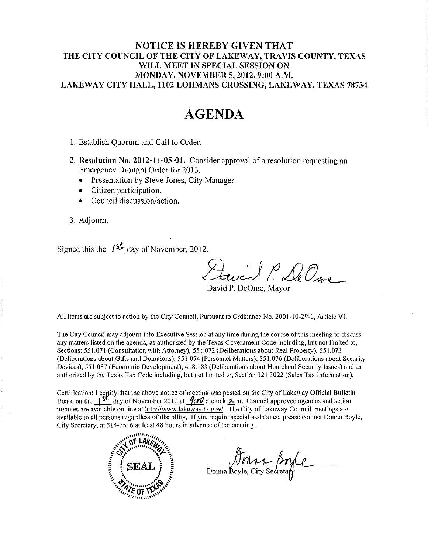#### NOTICE IS HEREBY GIVEN THAT THE CITY COUNCIL OF THE CITY OF LAKEWAY, TRAVIS COUNTY, TEXAS WILL MEET IN SPECIAL SESSION ON **MONDAY, NOVEMBER 5, 2012, 9:00 A.M.** LAKEWAY CITY HALL, 1102 LOHMANS CROSSING, LAKEWAY, TEXAS 78734

# **AGENDA**

1. Establish Quorum and Call to Order.

- 2. Resolution No. 2012-11-05-01. Consider approval of a resolution requesting an Emergency Drought Order for 2013.
	- Presentation by Steve Jones, City Manager.
	- Citizen participation.
	- Council discussion/action.
- 3. Adjourn.

Signed this the  $\frac{1}{2}$  day of November, 2012.

wed P. De One

)avid P. DeOme. Mavo:

All items are subject to action by the City Council, Pursuant to Ordinance No. 2001-10-29-1, Article VI.

The City Council may adjourn into Executive Session at any time during the course of this meeting to discuss any matters listed on the agenda, as authorized by the Texas Government Code including, but not limited to, Sections: 551.071 (Consultation with Attorney), 551.072 (Deliberations about Real Property), 551.073 (Deliberations about Gifts and Donations), 551.074 (Personnel Matters), 551.076 (Deliberations about Security Devices), 551.087 (Economic Development), 418.183 (Deliberations about Homeland Security Issues) and as authorized by the Texas Tax Code including, but not limited to, Section 321,3022 (Sales Tax Information).

Certification: I certify that the above notice of meeting was posted on the City of Lakeway Official Bulletin Board on the 1<sup>9</sup> day of November 2012 at  $\frac{q}{w}$  o'clock  $\Delta$ .m. Council approved agendas and action minutes are available on line at http://www.lakeway-tx.gov/. The City of Lakeway Council meetings are available to all persons regardless of disability. If you require special assistance, please contact Donna Boyle, City Secretary, at 314-7516 at least 48 hours in advance of the meeting.



Donna Boyle, City Secretary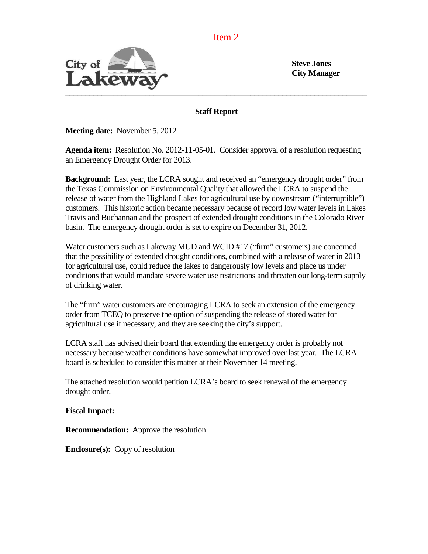Item 2



**City Manager**

**Staff Report**

**Meeting date:** November 5, 2012

**Agenda item:** Resolution No. 2012-11-05-01. Consider approval of a resolution requesting an Emergency Drought Order for 2013.

**Background:** Last year, the LCRA sought and received an "emergency drought order" from the Texas Commission on Environmental Quality that allowed the LCRA to suspend the release of water from the Highland Lakes for agricultural use by downstream ("interruptible") customers. This historic action became necessary because of record low water levels in Lakes Travis and Buchannan and the prospect of extended drought conditions in the Colorado River basin. The emergency drought order is set to expire on December 31, 2012.

Water customers such as Lakeway MUD and WCID #17 ("firm" customers) are concerned that the possibility of extended drought conditions, combined with a release of water in 2013 for agricultural use, could reduce the lakes to dangerously low levels and place us under conditions that would mandate severe water use restrictions and threaten our long-term supply of drinking water.

The "firm" water customers are encouraging LCRA to seek an extension of the emergency order from TCEQ to preserve the option of suspending the release of stored water for agricultural use if necessary, and they are seeking the city's support.

LCRA staff has advised their board that extending the emergency order is probably not necessary because weather conditions have somewhat improved over last year. The LCRA board is scheduled to consider this matter at their November 14 meeting.

The attached resolution would petition LCRA's board to seek renewal of the emergency drought order.

**Fiscal Impact:**

**Recommendation:** Approve the resolution

**Enclosure(s):** Copy of resolution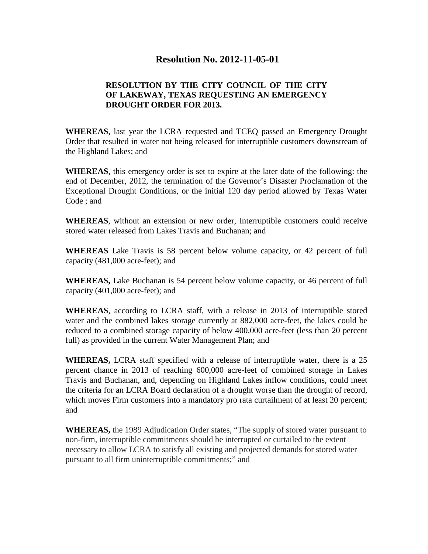## **Resolution No. 2012-11-05-01**

### **RESOLUTION BY THE CITY COUNCIL OF THE CITY OF LAKEWAY, TEXAS REQUESTING AN EMERGENCY DROUGHT ORDER FOR 2013.**

**WHEREAS**, last year the LCRA requested and TCEQ passed an Emergency Drought Order that resulted in water not being released for interruptible customers downstream of the Highland Lakes; and

**WHEREAS**, this emergency order is set to expire at the later date of the following: the end of December, 2012, the termination of the Governor's Disaster Proclamation of the Exceptional Drought Conditions, or the initial 120 day period allowed by Texas Water Code ; and

**WHEREAS**, without an extension or new order, Interruptible customers could receive stored water released from Lakes Travis and Buchanan; and

**WHEREAS** Lake Travis is 58 percent below volume capacity, or 42 percent of full capacity (481,000 acre-feet); and

**WHEREAS,** Lake Buchanan is 54 percent below volume capacity, or 46 percent of full capacity (401,000 acre-feet); and

**WHEREAS**, according to LCRA staff, with a release in 2013 of interruptible stored water and the combined lakes storage currently at 882,000 acre-feet, the lakes could be reduced to a combined storage capacity of below 400,000 acre-feet (less than 20 percent full) as provided in the current Water Management Plan; and

**WHEREAS,** LCRA staff specified with a release of interruptible water, there is a 25 percent chance in 2013 of reaching 600,000 acre-feet of combined storage in Lakes Travis and Buchanan, and, depending on Highland Lakes inflow conditions, could meet the criteria for an LCRA Board declaration of a drought worse than the drought of record, which moves Firm customers into a mandatory pro rata curtailment of at least 20 percent; and

**WHEREAS,** the 1989 Adjudication Order states, "The supply of stored water pursuant to non-firm, interruptible commitments should be interrupted or curtailed to the extent necessary to allow LCRA to satisfy all existing and projected demands for stored water pursuant to all firm uninterruptible commitments;" and